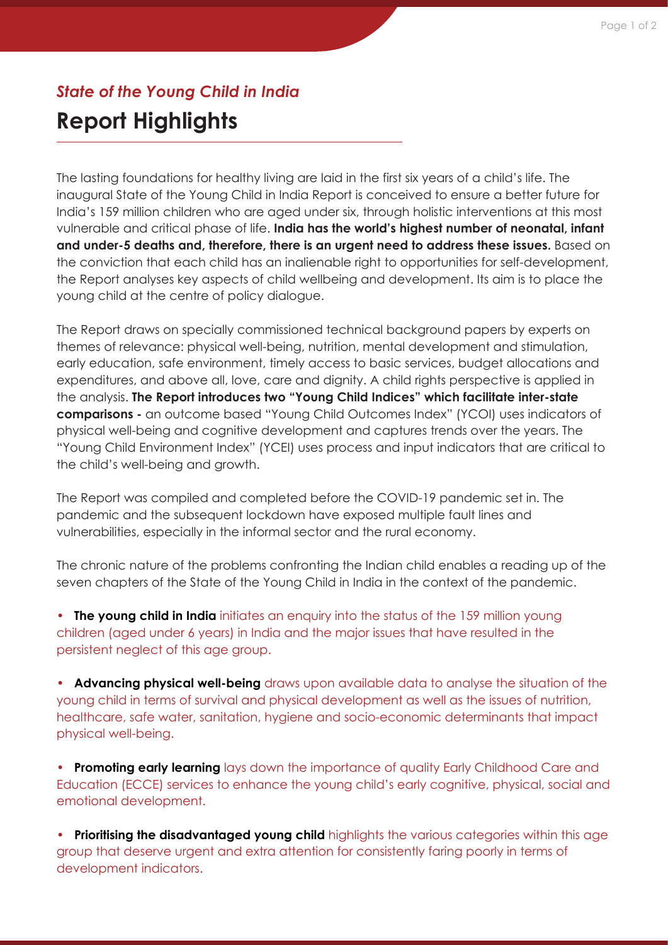## *State of the Young Child in India* **Report Highlights**

The lasting foundations for healthy living are laid in the first six years of a child's life. The inaugural State of the Young Child in India Report is conceived to ensure a better future for India's 159 million children who are aged under six, through holistic interventions at this most vulnerable and critical phase of life. **India has the world's highest number of neonatal, infant and under-5 deaths and, therefore, there is an urgent need to address these issues.** Based on the conviction that each child has an inalienable right to opportunities for self-development, the Report analyses key aspects of child wellbeing and development. Its aim is to place the young child at the centre of policy dialogue.

The Report draws on specially commissioned technical background papers by experts on themes of relevance: physical well-being, nutrition, mental development and stimulation, early education, safe environment, timely access to basic services, budget allocations and expenditures, and above all, love, care and dignity. A child rights perspective is applied in the analysis. **The Report introduces two "Young Child Indices" which facilitate inter-state comparisons -** an outcome based "Young Child Outcomes Index" (YCOI) uses indicators of physical well-being and cognitive development and captures trends over the years. The "Young Child Environment Index" (YCEI) uses process and input indicators that are critical to the child's well-being and growth.

The Report was compiled and completed before the COVID-19 pandemic set in. The pandemic and the subsequent lockdown have exposed multiple fault lines and vulnerabilities, especially in the informal sector and the rural economy.

The chronic nature of the problems confronting the Indian child enables a reading up of the seven chapters of the State of the Young Child in India in the context of the pandemic.

**The young child in India** initiates an enquiry into the status of the 159 million young children (aged under 6 years) in India and the major issues that have resulted in the persistent neglect of this age group.

• **Advancing physical well-being** draws upon available data to analyse the situation of the young child in terms of survival and physical development as well as the issues of nutrition, healthcare, safe water, sanitation, hygiene and socio-economic determinants that impact physical well-being.

**Promoting early learning** lays down the importance of quality Early Childhood Care and Education (ECCE) services to enhance the young child's early cognitive, physical, social and emotional development.

• **Prioritising the disadvantaged young child** highlights the various categories within this age group that deserve urgent and extra attention for consistently faring poorly in terms of development indicators.